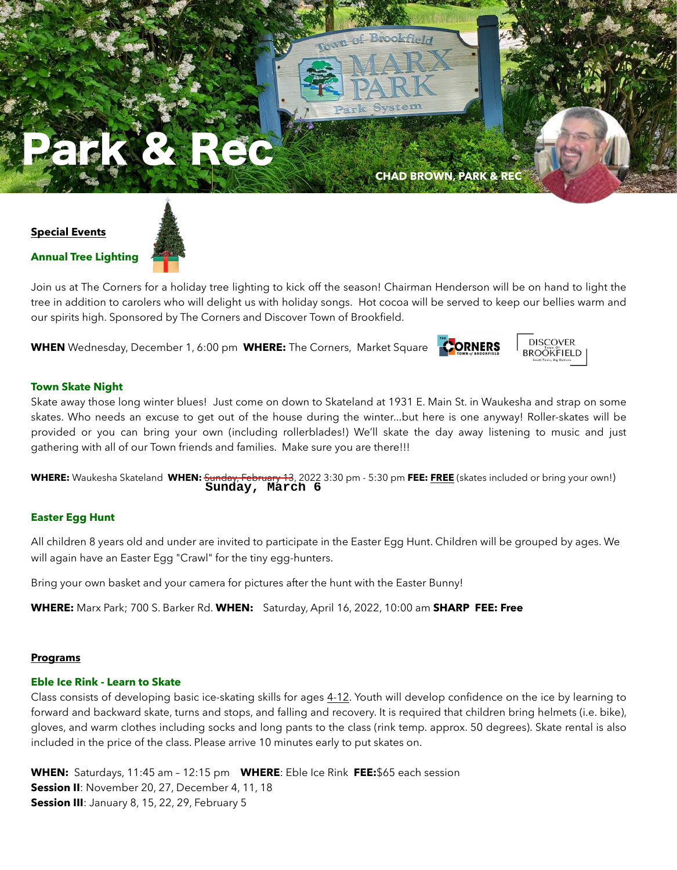

#### **Special Events**

**Annual Tree Lighting**

Join us at The Corners for a holiday tree lighting to kick off the season! Chairman Henderson will be on hand to light the tree in addition to carolers who will delight us with holiday songs. Hot cocoa will be served to keep our bellies warm and our spirits high. Sponsored by The Corners and Discover Town of Brookfield.

**WHEN** Wednesday, December 1, 6:00 pm **WHERE:** The Corners, Market Square





#### **Town Skate Night**

Skate away those long winter blues! Just come on down to Skateland at 1931 E. Main St. in Waukesha and strap on some skates. Who needs an excuse to get out of the house during the winter...but here is one anyway! Roller-skates will be provided or you can bring your own (including rollerblades!) We'll skate the day away listening to music and just gathering with all of our Town friends and families. Make sure you are there!!!

**WHERE:** Waukesha Skateland **WHEN:** Sunday, February 13, 2022 3:30 pm - 5:30 pm **FEE: FREE** (skates included or bring your own!) **Sunday, March 6**

#### **Easter Egg Hunt**

All children 8 years old and under are invited to participate in the Easter Egg Hunt. Children will be grouped by ages. We will again have an Easter Egg "Crawl" for the tiny egg-hunters.

Bring your own basket and your camera for pictures after the hunt with the Easter Bunny!

**WHERE:** Marx Park; 700 S. Barker Rd. **WHEN:** Saturday, April 16, 2022, 10:00 am **SHARP FEE: Free**

#### **Programs**

#### **Eble Ice Rink - Learn to Skate**

Class consists of developing basic ice-skating skills for ages 4-12. Youth will develop confidence on the ice by learning to forward and backward skate, turns and stops, and falling and recovery. It is required that children bring helmets (i.e. bike), gloves, and warm clothes including socks and long pants to the class (rink temp. approx. 50 degrees). Skate rental is also included in the price of the class. Please arrive 10 minutes early to put skates on.

**WHEN:** Saturdays, 11:45 am – 12:15 pm **WHERE**: Eble Ice Rink **FEE:**\$65 each session **Session II**: November 20, 27, December 4, 11, 18 **Session III**: January 8, 15, 22, 29, February 5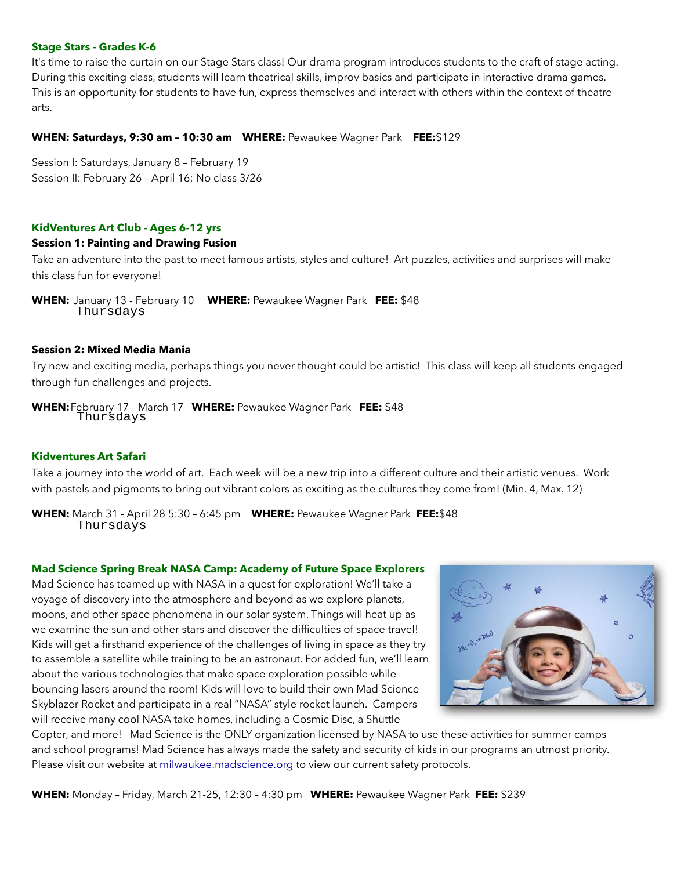#### **Stage Stars - Grades K-6**

It's time to raise the curtain on our Stage Stars class! Our drama program introduces students to the craft of stage acting. During this exciting class, students will learn theatrical skills, improv basics and participate in interactive drama games. This is an opportunity for students to have fun, express themselves and interact with others within the context of theatre arts.

#### **WHEN: Saturdays, 9:30 am – 10:30 am WHERE:** Pewaukee Wagner Park **FEE:**\$129

Session I: Saturdays, January 8 – February 19 Session II: February 26 – April 16; No class 3/26

#### **KidVentures Art Club - Ages 6-12 yrs**

#### **Session 1: Painting and Drawing Fusion**

Take an adventure into the past to meet famous artists, styles and culture! Art puzzles, activities and surprises will make this class fun for everyone!

**WHEN:** January 13 - February 10 **WHERE:** Pewaukee Wagner Park **FEE:** \$48 Thursdays

#### **Session 2: Mixed Media Mania**

Try new and exciting media, perhaps things you never thought could be artistic! This class will keep all students engaged through fun challenges and projects.

**WHEN:**February 17 - March 17 **WHERE:** Pewaukee Wagner Park **FEE:** \$48 Thursdays

#### **Kidventures Art Safari**

Take a journey into the world of art. Each week will be a new trip into a different culture and their artistic venues. Work with pastels and pigments to bring out vibrant colors as exciting as the cultures they come from! (Min. 4, Max. 12)

**WHEN:** March 31 - April 28 5:30 – 6:45 pm **WHERE:** Pewaukee Wagner Park **FEE:**\$48 Thursdays

#### **Mad Science Spring Break NASA Camp: Academy of Future Space Explorers**

Mad Science has teamed up with NASA in a quest for exploration! We'll take a voyage of discovery into the atmosphere and beyond as we explore planets, moons, and other space phenomena in our solar system. Things will heat up as we examine the sun and other stars and discover the difficulties of space travel! Kids will get a firsthand experience of the challenges of living in space as they try to assemble a satellite while training to be an astronaut. For added fun, we'll learn about the various technologies that make space exploration possible while bouncing lasers around the room! Kids will love to build their own Mad Science Skyblazer Rocket and participate in a real "NASA" style rocket launch. Campers will receive many cool NASA take homes, including a Cosmic Disc, a Shuttle



Copter, and more! Mad Science is the ONLY organization licensed by NASA to use these activities for summer camps and school programs! Mad Science has always made the safety and security of kids in our programs an utmost priority. Please visit our website at [milwaukee.madscience.org](http://milwaukee.madscience.org) to view our current safety protocols.

**WHEN:** Monday – Friday, March 21-25, 12:30 – 4:30 pm **WHERE:** Pewaukee Wagner Park **FEE:** \$239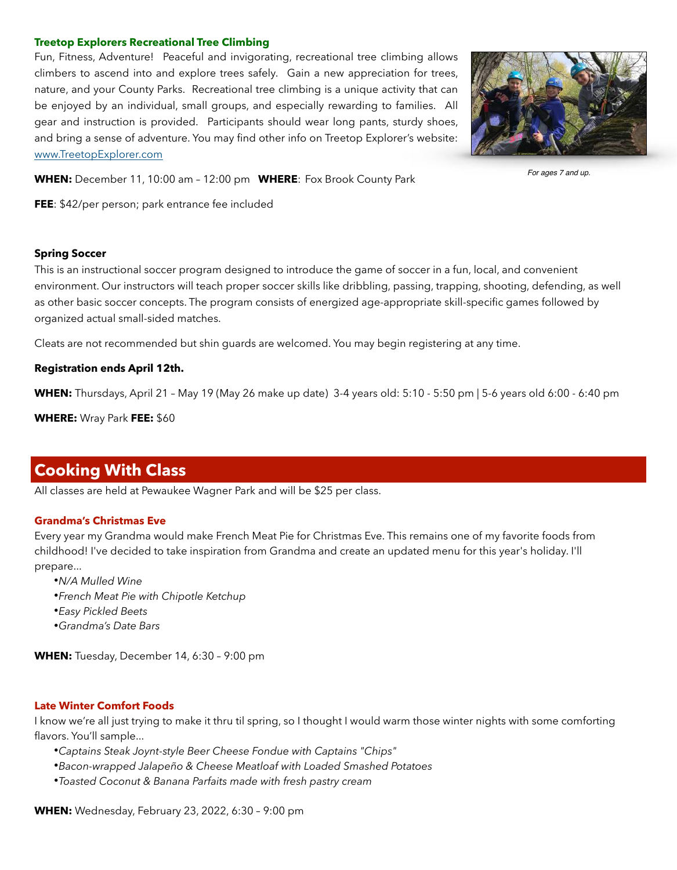#### **Treetop Explorers Recreational Tree Climbing**

Fun, Fitness, Adventure! Peaceful and invigorating, recreational tree climbing allows climbers to ascend into and explore trees safely. Gain a new appreciation for trees, nature, and your County Parks. Recreational tree climbing is a unique activity that can be enjoyed by an individual, small groups, and especially rewarding to families. All gear and instruction is provided. Participants should wear long pants, sturdy shoes, and bring a sense of adventure. You may find other info on Treetop Explorer's website: [www.TreetopExplorer.com](http://www.TreetopExplorer.com)



*For ages 7 and up.*

**WHEN:** December 11, 10:00 am – 12:00 pm **WHERE**: Fox Brook County Park

**FEE**: \$42/per person; park entrance fee included

#### **Spring Soccer**

This is an instructional soccer program designed to introduce the game of soccer in a fun, local, and convenient environment. Our instructors will teach proper soccer skills like dribbling, passing, trapping, shooting, defending, as well as other basic soccer concepts. The program consists of energized age-appropriate skill-specific games followed by organized actual small-sided matches.

Cleats are not recommended but shin guards are welcomed. You may begin registering at any time.

#### **Registration ends April 12th.**

**WHEN:** Thursdays, April 21 – May 19 (May 26 make up date) 3-4 years old: 5:10 - 5:50 pm | 5-6 years old 6:00 - 6:40 pm

**WHERE:** Wray Park **FEE:** \$60

## **Cooking With Class**

All classes are held at Pewaukee Wagner Park and will be \$25 per class.

#### **Grandma's Christmas Eve**

Every year my Grandma would make French Meat Pie for Christmas Eve. This remains one of my favorite foods from childhood! I've decided to take inspiration from Grandma and create an updated menu for this year's holiday. I'll prepare...

•*N/A Mulled Wine* •*French Meat Pie with Chipotle Ketchup* •*Easy Pickled Beets* •*Grandma's Date Bars*

**WHEN:** Tuesday, December 14, 6:30 – 9:00 pm

#### **Late Winter Comfort Foods**

I know we're all just trying to make it thru til spring, so I thought I would warm those winter nights with some comforting flavors. You'll sample...

•*Captains Steak Joynt-style Beer Cheese Fondue with Captains "Chips"*

•*Bacon-wrapped Jalapeño & Cheese Meatloaf with Loaded Smashed Potatoes*

•*Toasted Coconut & Banana Parfaits made with fresh pastry cream*

**WHEN:** Wednesday, February 23, 2022, 6:30 – 9:00 pm